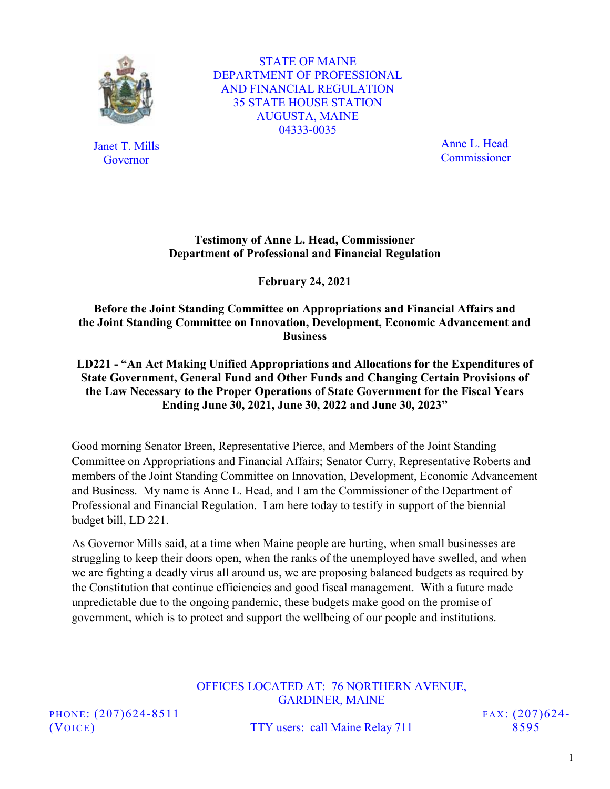

Janet T. Mills Governor

STATE OF MAINE DEPARTMENT OF PROFESSIONAL AND FINANCIAL REGULATION 35 STATE HOUSE STATION AUGUSTA, MAINE 04333-0035

> Anne L. Head **Commissioner**

#### **Testimony of Anne L. Head, Commissioner Department of Professional and Financial Regulation**

**February 24, 2021** 

**Before the Joint Standing Committee on Appropriations and Financial Affairs and the Joint Standing Committee on Innovation, Development, Economic Advancement and Business**

#### **LD221 - "An Act Making Unified Appropriations and Allocations for the Expenditures of State Government, General Fund and Other Funds and Changing Certain Provisions of the Law Necessary to the Proper Operations of State Government for the Fiscal Years Ending June 30, 2021, June 30, 2022 and June 30, 2023"**

Good morning Senator Breen, Representative Pierce, and Members of the Joint Standing Committee on Appropriations and Financial Affairs; Senator Curry, Representative Roberts and members of the Joint Standing Committee on Innovation, Development, Economic Advancement and Business. My name is Anne L. Head, and I am the Commissioner of the Department of Professional and Financial Regulation. I am here today to testify in support of the biennial budget bill, LD 221.

As Governor Mills said, at a time when Maine people are hurting, when small businesses are struggling to keep their doors open, when the ranks of the unemployed have swelled, and when we are fighting a deadly virus all around us, we are proposing balanced budgets as required by the Constitution that continue efficiencies and good fiscal management. With a future made unpredictable due to the ongoing pandemic, these budgets make good on the promise of government, which is to protect and support the wellbeing of our people and institutions.

> OFFICES LOCATED AT: 76 NORTHERN AVENUE, GARDINER, MAINE

PHONE: (207)624-8511 (VOICE)

TTY users: call Maine Relay 711

FAX: (207)624- 8595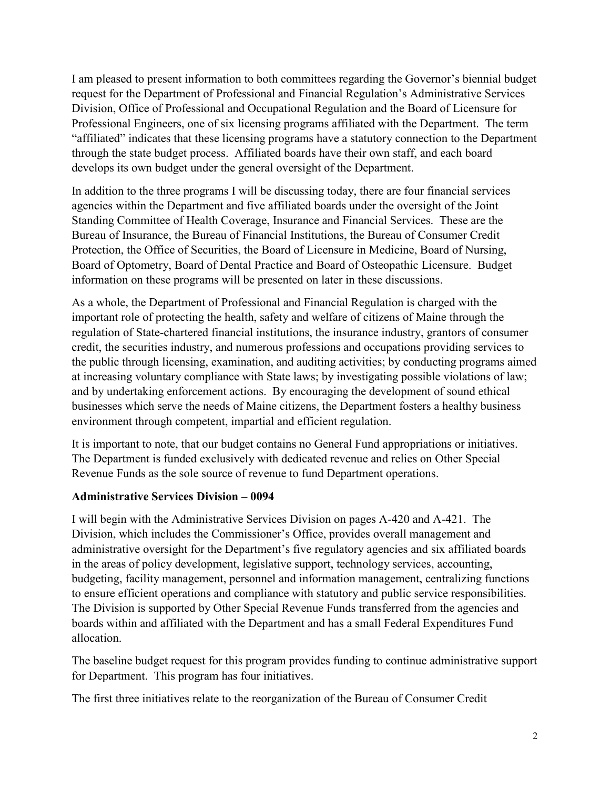I am pleased to present information to both committees regarding the Governor's biennial budget request for the Department of Professional and Financial Regulation's Administrative Services Division, Office of Professional and Occupational Regulation and the Board of Licensure for Professional Engineers, one of six licensing programs affiliated with the Department. The term "affiliated" indicates that these licensing programs have a statutory connection to the Department through the state budget process. Affiliated boards have their own staff, and each board develops its own budget under the general oversight of the Department.

In addition to the three programs I will be discussing today, there are four financial services agencies within the Department and five affiliated boards under the oversight of the Joint Standing Committee of Health Coverage, Insurance and Financial Services. These are the Bureau of Insurance, the Bureau of Financial Institutions, the Bureau of Consumer Credit Protection, the Office of Securities, the Board of Licensure in Medicine, Board of Nursing, Board of Optometry, Board of Dental Practice and Board of Osteopathic Licensure. Budget information on these programs will be presented on later in these discussions.

As a whole, the Department of Professional and Financial Regulation is charged with the important role of protecting the health, safety and welfare of citizens of Maine through the regulation of State-chartered financial institutions, the insurance industry, grantors of consumer credit, the securities industry, and numerous professions and occupations providing services to the public through licensing, examination, and auditing activities; by conducting programs aimed at increasing voluntary compliance with State laws; by investigating possible violations of law; and by undertaking enforcement actions. By encouraging the development of sound ethical businesses which serve the needs of Maine citizens, the Department fosters a healthy business environment through competent, impartial and efficient regulation.

It is important to note, that our budget contains no General Fund appropriations or initiatives. The Department is funded exclusively with dedicated revenue and relies on Other Special Revenue Funds as the sole source of revenue to fund Department operations.

#### **Administrative Services Division – 0094**

I will begin with the Administrative Services Division on pages A-420 and A-421. The Division, which includes the Commissioner's Office, provides overall management and administrative oversight for the Department's five regulatory agencies and six affiliated boards in the areas of policy development, legislative support, technology services, accounting, budgeting, facility management, personnel and information management, centralizing functions to ensure efficient operations and compliance with statutory and public service responsibilities. The Division is supported by Other Special Revenue Funds transferred from the agencies and boards within and affiliated with the Department and has a small Federal Expenditures Fund allocation.

The baseline budget request for this program provides funding to continue administrative support for Department. This program has four initiatives.

The first three initiatives relate to the reorganization of the Bureau of Consumer Credit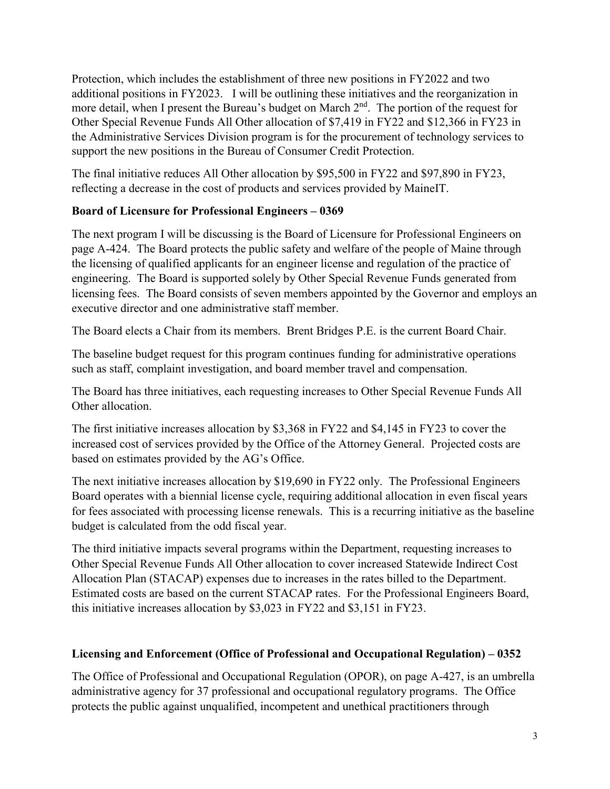Protection, which includes the establishment of three new positions in FY2022 and two additional positions in FY2023. I will be outlining these initiatives and the reorganization in more detail, when I present the Bureau's budget on March 2<sup>nd</sup>. The portion of the request for Other Special Revenue Funds All Other allocation of \$7,419 in FY22 and \$12,366 in FY23 in the Administrative Services Division program is for the procurement of technology services to support the new positions in the Bureau of Consumer Credit Protection.

The final initiative reduces All Other allocation by \$95,500 in FY22 and \$97,890 in FY23, reflecting a decrease in the cost of products and services provided by MaineIT.

# **Board of Licensure for Professional Engineers – 0369**

The next program I will be discussing is the Board of Licensure for Professional Engineers on page A-424. The Board protects the public safety and welfare of the people of Maine through the licensing of qualified applicants for an engineer license and regulation of the practice of engineering. The Board is supported solely by Other Special Revenue Funds generated from licensing fees. The Board consists of seven members appointed by the Governor and employs an executive director and one administrative staff member.

The Board elects a Chair from its members. Brent Bridges P.E. is the current Board Chair.

The baseline budget request for this program continues funding for administrative operations such as staff, complaint investigation, and board member travel and compensation.

The Board has three initiatives, each requesting increases to Other Special Revenue Funds All Other allocation.

The first initiative increases allocation by \$3,368 in FY22 and \$4,145 in FY23 to cover the increased cost of services provided by the Office of the Attorney General. Projected costs are based on estimates provided by the AG's Office.

The next initiative increases allocation by \$19,690 in FY22 only. The Professional Engineers Board operates with a biennial license cycle, requiring additional allocation in even fiscal years for fees associated with processing license renewals. This is a recurring initiative as the baseline budget is calculated from the odd fiscal year.

The third initiative impacts several programs within the Department, requesting increases to Other Special Revenue Funds All Other allocation to cover increased Statewide Indirect Cost Allocation Plan (STACAP) expenses due to increases in the rates billed to the Department. Estimated costs are based on the current STACAP rates. For the Professional Engineers Board, this initiative increases allocation by \$3,023 in FY22 and \$3,151 in FY23.

# **Licensing and Enforcement (Office of Professional and Occupational Regulation) – 0352**

The Office of Professional and Occupational Regulation (OPOR), on page A-427, is an umbrella administrative agency for 37 professional and occupational regulatory programs. The Office protects the public against unqualified, incompetent and unethical practitioners through